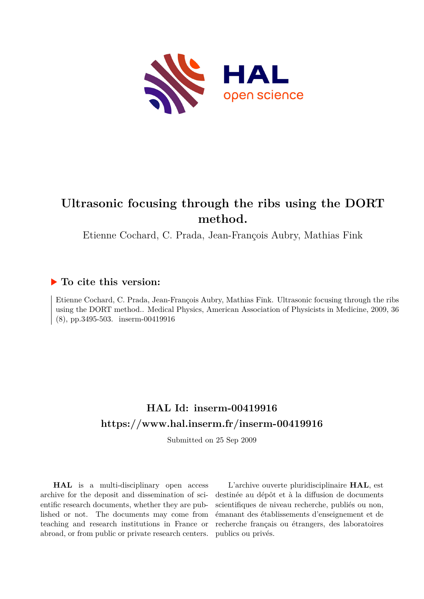

# **Ultrasonic focusing through the ribs using the DORT method.**

Etienne Cochard, C. Prada, Jean-François Aubry, Mathias Fink

# **To cite this version:**

Etienne Cochard, C. Prada, Jean-François Aubry, Mathias Fink. Ultrasonic focusing through the ribs using the DORT method.. Medical Physics, American Association of Physicists in Medicine, 2009, 36  $(8)$ , pp.3495-503. inserm-00419916

# **HAL Id: inserm-00419916 <https://www.hal.inserm.fr/inserm-00419916>**

Submitted on 25 Sep 2009

**HAL** is a multi-disciplinary open access archive for the deposit and dissemination of scientific research documents, whether they are published or not. The documents may come from teaching and research institutions in France or abroad, or from public or private research centers.

L'archive ouverte pluridisciplinaire **HAL**, est destinée au dépôt et à la diffusion de documents scientifiques de niveau recherche, publiés ou non, émanant des établissements d'enseignement et de recherche français ou étrangers, des laboratoires publics ou privés.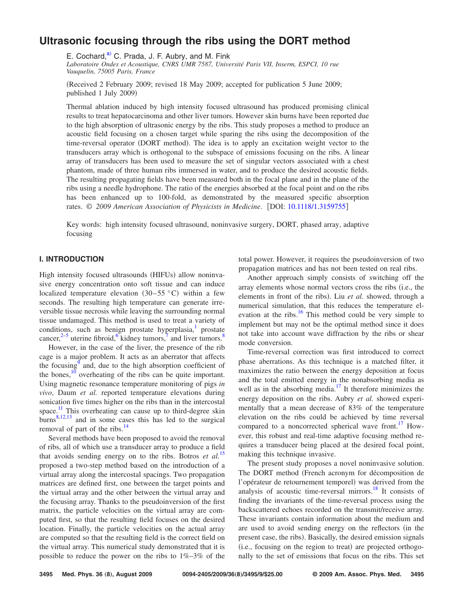# **[Ultrasonic focusing through the ribs using the DORT method](http://dx.doi.org/10.1118/1.3159755)**

E. Cochard, $a$ <sup>2</sup> C. Prada, J. F. Aubry, and M. Fink

*Laboratoire Ondes et Acoustique, CNRS UMR 7587, Université Paris VII, Inserm, ESPCI, 10 rue Vauquelin, 75005 Paris, France*

Received 2 February 2009; revised 18 May 2009; accepted for publication 5 June 2009; published 1 July 2009)

Thermal ablation induced by high intensity focused ultrasound has produced promising clinical results to treat hepatocarcinoma and other liver tumors. However skin burns have been reported due to the high absorption of ultrasonic energy by the ribs. This study proposes a method to produce an acoustic field focusing on a chosen target while sparing the ribs using the decomposition of the time-reversal operator (DORT method). The idea is to apply an excitation weight vector to the transducers array which is orthogonal to the subspace of emissions focusing on the ribs. A linear array of transducers has been used to measure the set of singular vectors associated with a chest phantom, made of three human ribs immersed in water, and to produce the desired acoustic fields. The resulting propagating fields have been measured both in the focal plane and in the plane of the ribs using a needle hydrophone. The ratio of the energies absorbed at the focal point and on the ribs has been enhanced up to 100-fold, as demonstrated by the measured specific absorption rates.  $\odot$  2009 American Association of Physicists in Medicine. [DOI: [10.1118/1.3159755](http://dx.doi.org/10.1118/1.3159755)]

Key words: high intensity focused ultrasound, noninvasive surgery, DORT, phased array, adaptive focusing

## **I. INTRODUCTION**

High intensity focused ultrasounds (HIFUs) allow noninvasive energy concentration onto soft tissue and can induce localized temperature elevation  $(30-55 °C)$  within a few seconds. The resulting high temperature can generate irreversible tissue necrosis while leaving the surrounding normal tissue undamaged. This method is used to treat a variety of conditions, such as benign prostate hyperplasia, $\frac{1}{1}$  prostate cancer, $2-5$  uterine fibroid,  $6$  kidney tumors, and liver tumors.<sup>8</sup>

However, in the case of the liver, the presence of the rib cage is a major problem. It acts as an aberrator that affects the focusing<sup>9</sup> and, due to the high absorption coefficient of the bones, $\frac{10}{10}$  overheating of the ribs can be quite important. Using magnetic resonance temperature monitoring of pigs *in vivo*, Daum *et al.* reported temperature elevations during sonication five times higher on the ribs than in the intercostal space.<sup>11</sup> This overheating can cause up to third-degree skin  $b$ urns<sup>8,12,13</sup> and in some cases this has led to the surgical removal of part of the ribs. $^{14}$ 

Several methods have been proposed to avoid the removal of ribs, all of which use a transducer array to produce a field that avoids sending energy on to the ribs. Botros *et al.*<sup>15</sup> proposed a two-step method based on the introduction of a virtual array along the intercostal spacings. Two propagation matrices are defined first, one between the target points and the virtual array and the other between the virtual array and the focusing array. Thanks to the pseudoinversion of the first matrix, the particle velocities on the virtual array are computed first, so that the resulting field focuses on the desired location. Finally, the particle velocities on the actual array are computed so that the resulting field is the correct field on the virtual array. This numerical study demonstrated that it is possible to reduce the power on the ribs to  $1\% - 3\%$  of the

total power. However, it requires the pseudoinversion of two propagation matrices and has not been tested on real ribs.

Another approach simply consists of switching off the array elements whose normal vectors cross the ribs (i.e., the elements in front of the ribs). Liu et al. showed, through a numerical simulation, that this reduces the temperature elevation at the ribs.<sup>16</sup> This method could be very simple to implement but may not be the optimal method since it does not take into account wave diffraction by the ribs or shear mode conversion.

Time-reversal correction was first introduced to correct phase aberrations. As this technique is a matched filter, it maximizes the ratio between the energy deposition at focus and the total emitted energy in the nonabsorbing media as well as in the absorbing media.<sup>17</sup> It therefore minimizes the energy deposition on the ribs. Aubry *et al.* showed experimentally that a mean decrease of 83% of the temperature elevation on the ribs could be achieved by time reversal compared to a noncorrected spherical wave front.<sup>17</sup> However, this robust and real-time adaptive focusing method requires a transducer being placed at the desired focal point, making this technique invasive.

The present study proposes a novel noninvasive solution. The DORT method (French acronym for décomposition de l'opérateur de retournement temporel) was derived from the analysis of acoustic time-reversal mirrors.18 It consists of finding the invariants of the time-reversal process using the backscattered echoes recorded on the transmit/receive array. These invariants contain information about the medium and are used to avoid sending energy on the reflectors (in the present case, the ribs). Basically, the desired emission signals (i.e., focusing on the region to treat) are projected orthogonally to the set of emissions that focus on the ribs. This set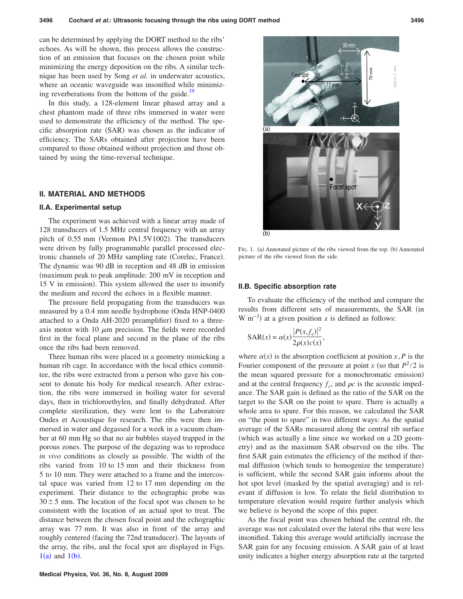can be determined by applying the DORT method to the ribs' echoes. As will be shown, this process allows the construction of an emission that focuses on the chosen point while minimizing the energy deposition on the ribs. A similar technique has been used by Song *et al.* in underwater acoustics, where an oceanic waveguide was insonified while minimizing reverberations from the bottom of the guide.<sup>19</sup>

In this study, a 128-element linear phased array and a chest phantom made of three ribs immersed in water were used to demonstrate the efficiency of the method. The specific absorption rate (SAR) was chosen as the indicator of efficiency. The SARs obtained after projection have been compared to those obtained without projection and those obtained by using the time-reversal technique.

#### **II. MATERIAL AND METHODS**

#### **II.A. Experimental setup**

The experiment was achieved with a linear array made of 128 transducers of 1.5 MHz central frequency with an array pitch of 0.55 mm (Vermon PA1.5V1002). The transducers were driven by fully programmable parallel processed electronic channels of 20 MHz sampling rate (Corelec, France). The dynamic was 90 dB in reception and 48 dB in emission maximum peak to peak amplitude: 200 mV in reception and 15 V in emission). This system allowed the user to insonify the medium and record the echoes in a flexible manner.

The pressure field propagating from the transducers was measured by a 0.4 mm needle hydrophone (Onda HNP-0400 attached to a Onda AH-2020 preamplifier) fixed to a threeaxis motor with 10  $\mu$ m precision. The fields were recorded first in the focal plane and second in the plane of the ribs once the ribs had been removed.

Three human ribs were placed in a geometry mimicking a human rib cage. In accordance with the local ethics committee, the ribs were extracted from a person who gave his consent to donate his body for medical research. After extraction, the ribs were immersed in boiling water for several days, then in trichloroethylen, and finally dehydrated. After complete sterilization, they were lent to the Laboratoire Ondes et Acoustique for research. The ribs were then immersed in water and degassed for a week in a vacuum chamber at 60 mm Hg so that no air bubbles stayed trapped in the porous zones. The purpose of the degazing was to reproduce *in vivo* conditions as closely as possible. The width of the ribs varied from 10 to 15 mm and their thickness from 5 to 10 mm. They were attached to a frame and the intercostal space was varied from 12 to 17 mm depending on the experiment. Their distance to the echographic probe was  $30 \pm 5$  mm. The location of the focal spot was chosen to be consistent with the location of an actual spot to treat. The distance between the chosen focal point and the echographic array was 77 mm. It was also in front of the array and roughly centered (facing the 72nd transducer). The layouts of the array, the ribs, and the focal spot are displayed in Figs.  $1(a)$  and  $1(b)$ .



FIG. 1. (a) Annotated picture of the ribs viewed from the top. (b) Annotated picture of the ribs viewed from the side.

#### **II.B. Specific absorption rate**

To evaluate the efficiency of the method and compare the results from different sets of measurements, the SAR (in W m<sup>-3</sup>) at a given position *x* is defined as follows:

$$
SAR(x) = \alpha(x) \frac{|P(x, f_c)|^2}{2\rho(x)c(x)},
$$

where  $\alpha(x)$  is the absorption coefficient at position *x*, *P* is the Fourier component of the pressure at point *x* (so that  $P^2/2$  is the mean squared pressure for a monochromatic emission) and at the central frequency  $f_c$ , and  $\rho c$  is the acoustic impedance. The SAR gain is defined as the ratio of the SAR on the target to the SAR on the point to spare. There is actually a whole area to spare. For this reason, we calculated the SAR on "the point to spare" in two different ways: As the spatial average of the SARs measured along the central rib surface which was actually a line since we worked on a 2D geometry) and as the maximum SAR observed on the ribs. The first SAR gain estimates the efficiency of the method if thermal diffusion (which tends to homogenize the temperature) is sufficient, while the second SAR gain informs about the hot spot level (masked by the spatial averaging) and is relevant if diffusion is low. To relate the field distribution to temperature elevation would require further analysis which we believe is beyond the scope of this paper.

As the focal point was chosen behind the central rib, the average was not calculated over the lateral ribs that were less insonified. Taking this average would artificially increase the SAR gain for any focusing emission. A SAR gain of at least unity indicates a higher energy absorption rate at the targeted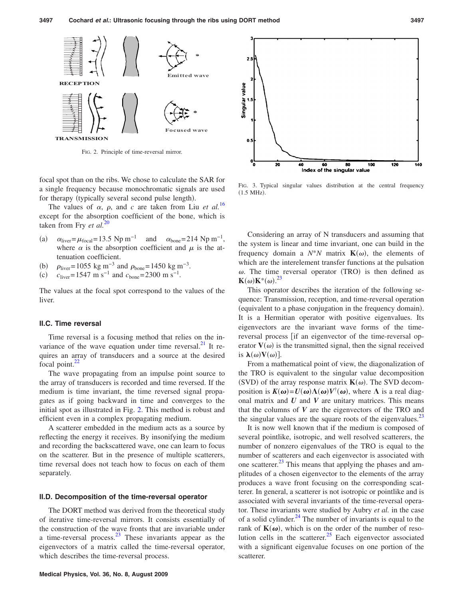

FIG. 2. Principle of time-reversal mirror.

focal spot than on the ribs. We chose to calculate the SAR for a single frequency because monochromatic signals are used for therapy (typically several second pulse length).

The values of  $\alpha$ ,  $\rho$ , and *c* are taken from Liu *et al.*<sup>16</sup> except for the absorption coefficient of the bone, which is taken from Fry *et al.*<sup>20</sup>

- $(a)$  $\alpha_{\text{liver}} = \mu_{\text{focal}} = 13.5 \text{ Np m}^{-1}$  and  $\alpha_{\text{bone}} = 214 \text{ Np m}^{-1}$ , where  $\alpha$  is the absorption coefficient and  $\mu$  is the attenuation coefficient.
- $(b)$  $\int \rho_{\text{liver}} = 1055 \text{ kg m}^{-3} \text{ and } \rho_{\text{bone}} = 1450 \text{ kg m}^{-3}.$
- $(c)$ *c*<sub>liver</sub>= 1547 m s<sup>-1</sup> and  $c_{\text{bone}}$ = 2300 m s<sup>-1</sup>.

The values at the focal spot correspond to the values of the liver.

#### **II.C. Time reversal**

Time reversal is a focusing method that relies on the invariance of the wave equation under time reversal.<sup>21</sup> It requires an array of transducers and a source at the desired focal point. $^{22}$ 

The wave propagating from an impulse point source to the array of transducers is recorded and time reversed. If the medium is time invariant, the time reversed signal propagates as if going backward in time and converges to the initial spot as illustrated in Fig. 2. This method is robust and efficient even in a complex propagating medium.

A scatterer embedded in the medium acts as a source by reflecting the energy it receives. By insonifying the medium and recording the backscattered wave, one can learn to focus on the scatterer. But in the presence of multiple scatterers, time reversal does not teach how to focus on each of them separately.

#### **II.D. Decomposition of the time-reversal operator**

The DORT method was derived from the theoretical study of iterative time-reversal mirrors. It consists essentially of the construction of the wave fronts that are invariable under a time-reversal process. $^{23}$  These invariants appear as the eigenvectors of a matrix called the time-reversal operator, which describes the time-reversal process.



FIG. 3. Typical singular values distribution at the central frequency  $(1.5$  MHz).

Considering an array of N transducers and assuming that the system is linear and time invariant, one can build in the frequency domain a  $N^*N$  matrix  $\mathbf{K}(\omega)$ , the elements of which are the interelement transfer functions at the pulsation  $\omega$ . The time reversal operator (TRO) is then defined as  $\mathbf{K}(\omega)\mathbf{K}^*(\omega).^{23}$ 

This operator describes the iteration of the following sequence: Transmission, reception, and time-reversal operation (equivalent to a phase conjugation in the frequency domain). It is a Hermitian operator with positive eigenvalues. Its eigenvectors are the invariant wave forms of the timereversal process [if an eigenvector of the time-reversal operator  $V(\omega)$  is the transmitted signal, then the signal received is  $\lambda(\omega)V(\omega)$ ].

From a mathematical point of view, the diagonalization of the TRO is equivalent to the singular value decomposition (SVD) of the array response matrix  $K(\omega)$ . The SVD decomposition is  $K(\omega) = U(\omega) \Lambda(\omega) V^{\dagger}(\omega)$ , where  $\Lambda$  is a real diagonal matrix and *U* and *V* are unitary matrices. This means that the columns of *V* are the eigenvectors of the TRO and the singular values are the square roots of the eigenvalues.<sup>23</sup>

It is now well known that if the medium is composed of several pointlike, isotropic, and well resolved scatterers, the number of nonzero eigenvalues of the TRO is equal to the number of scatterers and each eigenvector is associated with one scatterer. $^{23}$  This means that applying the phases and amplitudes of a chosen eigenvector to the elements of the array produces a wave front focusing on the corresponding scatterer. In general, a scatterer is not isotropic or pointlike and is associated with several invariants of the time-reversal operator. These invariants were studied by Aubry *et al.* in the case of a solid cylinder. $^{24}$  The number of invariants is equal to the rank of  $K(\omega)$ , which is on the order of the number of resolution cells in the scatterer. $^{25}$  Each eigenvector associated with a significant eigenvalue focuses on one portion of the scatterer.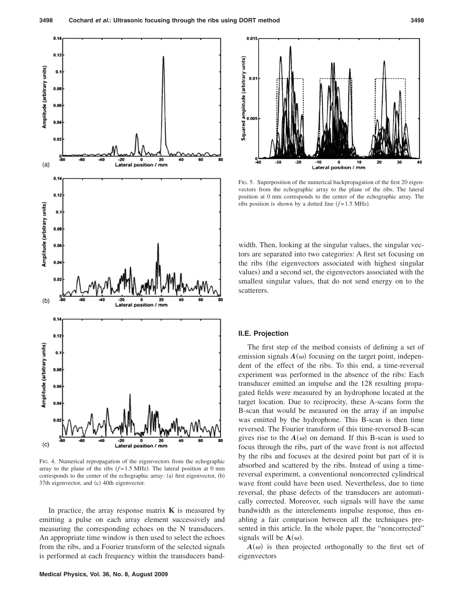

FIG. 4. Numerical repropagation of the eigenvectors from the echographic array to the plane of the ribs  $(f=1.5 \text{ MHz})$ . The lateral position at 0 mm corresponds to the center of the echographic array: (a) first eigenvector, (b) 37th eigenvector, and (c) 40th eigenvector.

In practice, the array response matrix  $\bf{K}$  is measured by emitting a pulse on each array element successively and measuring the corresponding echoes on the N transducers. An appropriate time window is then used to select the echoes from the ribs, and a Fourier transform of the selected signals is performed at each frequency within the transducers band-



FIG. 5. Superposition of the numerical backpropagation of the first 20 eigenvectors from the echographic array to the plane of the ribs. The lateral position at 0 mm corresponds to the center of the echographic array. The ribs position is shown by a dotted line  $(f=1.5 \text{ MHz})$ .

width. Then, looking at the singular values, the singular vectors are separated into two categories: A first set focusing on the ribs (the eigenvectors associated with highest singular values) and a second set, the eigenvectors associated with the smallest singular values, that do not send energy on to the scatterers.

#### **II.E. Projection**

The first step of the method consists of defining a set of emission signals  $A(\omega)$  focusing on the target point, independent of the effect of the ribs. To this end, a time-reversal experiment was performed in the absence of the ribs: Each transducer emitted an impulse and the 128 resulting propagated fields were measured by an hydrophone located at the target location. Due to reciprocity, these A-scans form the B-scan that would be measured on the array if an impulse was emitted by the hydrophone. This B-scan is then time reversed. The Fourier transform of this time-reversed B-scan gives rise to the  $A(\omega)$  on demand. If this B-scan is used to focus through the ribs, part of the wave front is not affected by the ribs and focuses at the desired point but part of it is absorbed and scattered by the ribs. Instead of using a timereversal experiment, a conventional noncorrected cylindrical wave front could have been used. Nevertheless, due to time reversal, the phase defects of the transducers are automatically corrected. Moreover, such signals will have the same bandwidth as the interelements impulse response, thus enabling a fair comparison between all the techniques presented in this article. In the whole paper, the "noncorrected" signals will be  $A(\omega)$ .

 $A(\omega)$  is then projected orthogonally to the first set of eigenvectors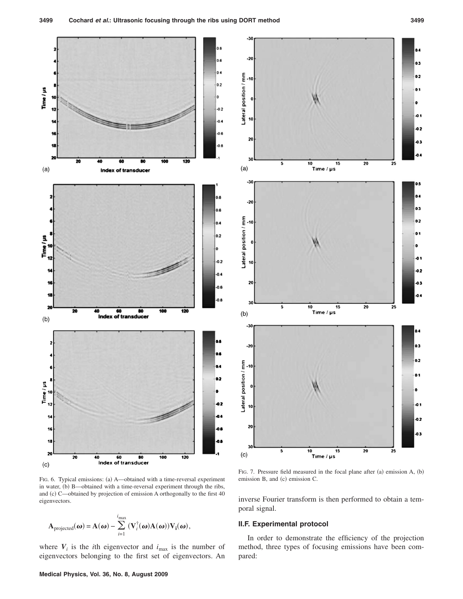

FIG. 6. Typical emissions: (a) A—obtained with a time-reversal experiment in water, (b) B—obtained with a time-reversal experiment through the ribs, and (c) C—obtained by projection of emission A orthogonally to the first 40 eigenvectors.

$$
\mathbf{A}_{\text{projected}}(\boldsymbol{\omega}) = \mathbf{A}(\boldsymbol{\omega}) - \sum_{i=1}^{i_{\text{max}}} (\mathbf{V}_i^{\dagger}(\boldsymbol{\omega}) \mathbf{A}(\boldsymbol{\omega})) \mathbf{V}_i(\boldsymbol{\omega}),
$$

where  $V_i$  is the *i*th eigenvector and  $i_{\text{max}}$  is the number of eigenvectors belonging to the first set of eigenvectors. An



FIG. 7. Pressure field measured in the focal plane after (a) emission A, (b) emission B, and (c) emission C.

inverse Fourier transform is then performed to obtain a temporal signal.

## **II.F. Experimental protocol**

In order to demonstrate the efficiency of the projection method, three types of focusing emissions have been compared: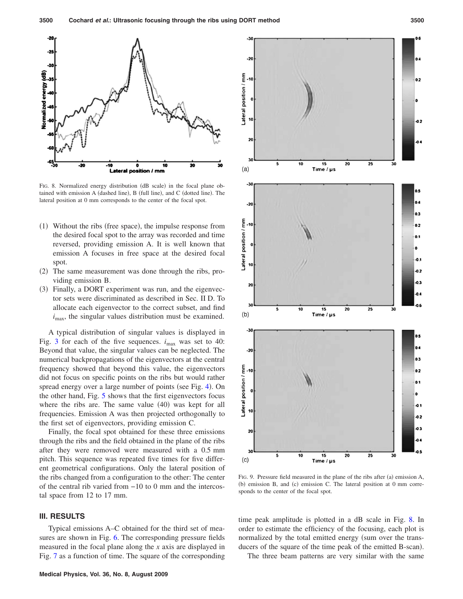

FIG. 8. Normalized energy distribution (dB scale) in the focal plane obtained with emission A (dashed line), B (full line), and C (dotted line). The lateral position at 0 mm corresponds to the center of the focal spot.

- (1) Without the ribs (free space), the impulse response from the desired focal spot to the array was recorded and time reversed, providing emission A. It is well known that emission A focuses in free space at the desired focal spot.
- (2) The same measurement was done through the ribs, providing emission B.
- (3) Finally, a DORT experiment was run, and the eigenvector sets were discriminated as described in Sec. II D. To allocate each eigenvector to the correct subset, and find  $i_{\text{max}}$ , the singular values distribution must be examined.

A typical distribution of singular values is displayed in Fig. 3 for each of the five sequences.  $i_{\text{max}}$  was set to 40: Beyond that value, the singular values can be neglected. The numerical backpropagations of the eigenvectors at the central frequency showed that beyond this value, the eigenvectors did not focus on specific points on the ribs but would rather spread energy over a large number of points (see Fig. 4). On the other hand, Fig. 5 shows that the first eigenvectors focus where the ribs are. The same value  $(40)$  was kept for all frequencies. Emission A was then projected orthogonally to the first set of eigenvectors, providing emission C.

Finally, the focal spot obtained for these three emissions through the ribs and the field obtained in the plane of the ribs after they were removed were measured with a 0.5 mm pitch. This sequence was repeated five times for five different geometrical configurations. Only the lateral position of the ribs changed from a configuration to the other: The center of the central rib varied from −10 to 0 mm and the intercostal space from 12 to 17 mm.

## **III. RESULTS**

Typical emissions A–C obtained for the third set of measures are shown in Fig. 6. The corresponding pressure fields measured in the focal plane along the *x* axis are displayed in Fig. 7 as a function of time. The square of the corresponding



FIG. 9. Pressure field measured in the plane of the ribs after (a) emission A, (b) emission B, and (c) emission C. The lateral position at 0 mm corresponds to the center of the focal spot.

time peak amplitude is plotted in a dB scale in Fig. 8. In order to estimate the efficiency of the focusing, each plot is normalized by the total emitted energy (sum over the transducers of the square of the time peak of the emitted B-scan).

The three beam patterns are very similar with the same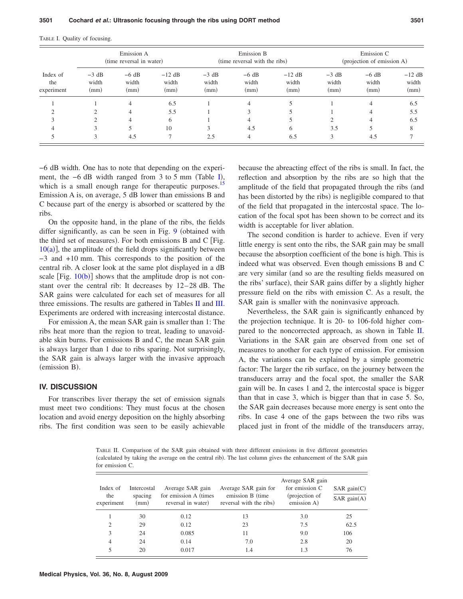TABLE I. Quality of focusing.

| Index of<br>the<br>experiment | Emission A<br>(time reversal in water) |                          |                           | Emission B<br>(time reversal with the ribs) |                          |                           | Emission C<br>(projection of emission A) |                          |                           |
|-------------------------------|----------------------------------------|--------------------------|---------------------------|---------------------------------------------|--------------------------|---------------------------|------------------------------------------|--------------------------|---------------------------|
|                               | $-3$ dB<br>width<br>(mm)               | $-6$ dB<br>width<br>(mm) | $-12$ dB<br>width<br>(mm) | $-3$ dB<br>width<br>(mm)                    | $-6$ dB<br>width<br>(mm) | $-12$ dB<br>width<br>(mm) | $-3$ dB<br>width<br>(mm)                 | $-6$ dB<br>width<br>(mm) | $-12$ dB<br>width<br>(mm) |
|                               |                                        | 4                        | 6.5                       |                                             | 4                        |                           |                                          | $\overline{4}$           | 6.5                       |
|                               |                                        |                          | 5.5                       |                                             |                          |                           |                                          | $\overline{4}$           | 5.5                       |
| $\mathcal{R}$                 |                                        |                          | 6                         |                                             | 4                        |                           |                                          | $\overline{4}$           | 6.5                       |
|                               |                                        |                          | 10                        |                                             | 4.5                      | 6                         | 3.5                                      |                          | 8                         |
|                               | 3                                      | 4.5                      |                           | 2.5                                         | 4                        | 6.5                       | 3                                        | 4.5                      |                           |

−6 dB width. One has to note that depending on the experiment, the -6 dB width ranged from 3 to 5 mm (Table I), which is a small enough range for therapeutic purposes.<sup>15</sup> Emission A is, on average, 5 dB lower than emissions B and C because part of the energy is absorbed or scattered by the ribs.

On the opposite hand, in the plane of the ribs, the fields differ significantly, as can be seen in Fig.  $9$  (obtained with the third set of measures). For both emissions B and C [Fig.  $10(a)$ ], the amplitude of the field drops significantly between −3 and +10 mm. This corresponds to the position of the central rib. A closer look at the same plot displayed in a dB scale [Fig.  $10(b)$ ] shows that the amplitude drop is not constant over the central rib: It decreases by 12– 28 dB. The SAR gains were calculated for each set of measures for all three emissions. The results are gathered in Tables II and III. Experiments are ordered with increasing intercostal distance.

For emission A, the mean SAR gain is smaller than 1: The ribs heat more than the region to treat, leading to unavoidable skin burns. For emissions B and C, the mean SAR gain is always larger than 1 due to ribs sparing. Not surprisingly, the SAR gain is always larger with the invasive approach (emission B).

## **IV. DISCUSSION**

For transcribes liver therapy the set of emission signals must meet two conditions: They must focus at the chosen location and avoid energy deposition on the highly absorbing ribs. The first condition was seen to be easily achievable because the abreacting effect of the ribs is small. In fact, the reflection and absorption by the ribs are so high that the amplitude of the field that propagated through the ribs (and has been distorted by the ribs) is negligible compared to that of the field that propagated in the intercostal space. The location of the focal spot has been shown to be correct and its width is acceptable for liver ablation.

The second condition is harder to achieve. Even if very little energy is sent onto the ribs, the SAR gain may be small because the absorption coefficient of the bone is high. This is indeed what was observed. Even though emissions B and C are very similar (and so are the resulting fields measured on the ribs' surface), their SAR gains differ by a slightly higher pressure field on the ribs with emission C. As a result, the SAR gain is smaller with the noninvasive approach.

Nevertheless, the SAR gain is significantly enhanced by the projection technique. It is 20- to 106-fold higher compared to the noncorrected approach, as shown in Table II. Variations in the SAR gain are observed from one set of measures to another for each type of emission. For emission A, the variations can be explained by a simple geometric factor: The larger the rib surface, on the journey between the transducers array and the focal spot, the smaller the SAR gain will be. In cases 1 and 2, the intercostal space is bigger than that in case 3, which is bigger than that in case 5. So, the SAR gain decreases because more energy is sent onto the ribs. In case 4 one of the gaps between the two ribs was placed just in front of the middle of the transducers array,

TABLE II. Comparison of the SAR gain obtained with three different emissions in five different geometries (calculated by taking the average on the central rib). The last column gives the enhancement of the SAR gain for emission C.

| Index of<br>the<br>experiment | Intercostal<br>spacing<br>(mm) | Average SAR gain<br>for emission A (times)<br>reversal in water) | Average SAR gain for<br>emission B (time)<br>reversal with the ribs) | Average SAR gain<br>for emission C<br>(projection of<br>emission A) | SAR gain(C)<br>SAR gain(A) |
|-------------------------------|--------------------------------|------------------------------------------------------------------|----------------------------------------------------------------------|---------------------------------------------------------------------|----------------------------|
|                               | 30                             | 0.12                                                             | 13                                                                   | 3.0                                                                 | 25                         |
| 2                             | 29                             | 0.12                                                             | 23                                                                   | 7.5                                                                 | 62.5                       |
| 3                             | 24                             | 0.085                                                            | 11                                                                   | 9.0                                                                 | 106                        |
| 4                             | 24                             | 0.14                                                             | 7.0                                                                  | 2.8                                                                 | 20                         |
| 5                             | 20                             | 0.017                                                            | 1.4                                                                  | 1.3                                                                 | 76                         |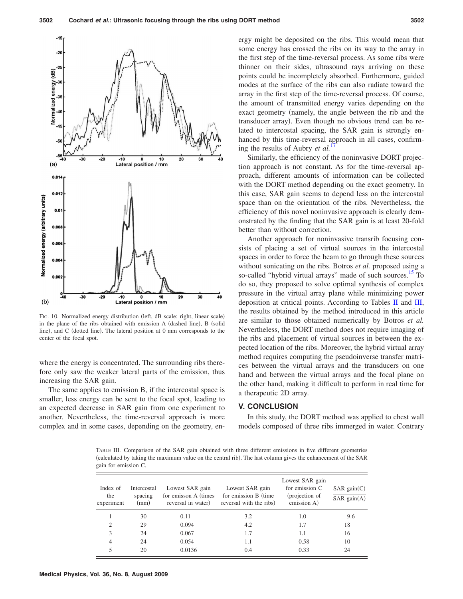

FIG. 10. Normalized energy distribution (left, dB scale; right, linear scale) in the plane of the ribs obtained with emission A (dashed line), B (solid line), and C (dotted line). The lateral position at 0 mm corresponds to the center of the focal spot.

where the energy is concentrated. The surrounding ribs therefore only saw the weaker lateral parts of the emission, thus increasing the SAR gain.

The same applies to emission B, if the intercostal space is smaller, less energy can be sent to the focal spot, leading to an expected decrease in SAR gain from one experiment to another. Nevertheless, the time-reversal approach is more complex and in some cases, depending on the geometry, energy might be deposited on the ribs. This would mean that some energy has crossed the ribs on its way to the array in the first step of the time-reversal process. As some ribs were thinner on their sides, ultrasound rays arriving on these points could be incompletely absorbed. Furthermore, guided modes at the surface of the ribs can also radiate toward the array in the first step of the time-reversal process. Of course, the amount of transmitted energy varies depending on the exact geometry (namely, the angle between the rib and the transducer array). Even though no obvious trend can be related to intercostal spacing, the SAR gain is strongly enhanced by this time-reversal approach in all cases, confirming the results of Aubry *et al.*<sup>1</sup>

Similarly, the efficiency of the noninvasive DORT projection approach is not constant. As for the time-reversal approach, different amounts of information can be collected with the DORT method depending on the exact geometry. In this case, SAR gain seems to depend less on the intercostal space than on the orientation of the ribs. Nevertheless, the efficiency of this novel noninvasive approach is clearly demonstrated by the finding that the SAR gain is at least 20-fold better than without correction.

Another approach for noninvasive transrib focusing consists of placing a set of virtual sources in the intercostal spaces in order to force the beam to go through these sources without sonicating on the ribs. Botros *et al.* proposed using a so-called "hybrid virtual arrays" made of such sources.<sup>15</sup> To do so, they proposed to solve optimal synthesis of complex pressure in the virtual array plane while minimizing power deposition at critical points. According to Tables II and III, the results obtained by the method introduced in this article are similar to those obtained numerically by Botros *et al.* Nevertheless, the DORT method does not require imaging of the ribs and placement of virtual sources in between the expected location of the ribs. Moreover, the hybrid virtual array method requires computing the pseudoinverse transfer matrices between the virtual arrays and the transducers on one hand and between the virtual arrays and the focal plane on the other hand, making it difficult to perform in real time for a therapeutic 2D array.

#### **V. CONCLUSION**

In this study, the DORT method was applied to chest wall models composed of three ribs immerged in water. Contrary

TABLE III. Comparison of the SAR gain obtained with three different emissions in five different geometries (calculated by taking the maximum value on the central rib). The last column gives the enhancement of the SAR gain for emission C.

| Index of<br>the<br>experiment | Intercostal<br>spacing<br>(mm) | Lowest SAR gain<br>for emisson A (times)<br>reversal in water) | Lowest SAR gain<br>for emission B (time)<br>reversal with the ribs) | Lowest SAR gain<br>for emission $C$<br>(projection of<br>emission A) | SAR gain(C)<br>SAR gain(A) |
|-------------------------------|--------------------------------|----------------------------------------------------------------|---------------------------------------------------------------------|----------------------------------------------------------------------|----------------------------|
|                               | 30                             | 0.11                                                           | 3.2                                                                 | 1.0                                                                  | 9.6                        |
| 2                             | 29                             | 0.094                                                          | 4.2                                                                 | 1.7                                                                  | 18                         |
| 3                             | 24                             | 0.067                                                          | 1.7                                                                 | 1.1                                                                  | 16                         |
| 4                             | 24                             | 0.054                                                          | 1.1                                                                 | 0.58                                                                 | 10                         |
| 5                             | 20                             | 0.0136                                                         | 0.4                                                                 | 0.33                                                                 | 24                         |